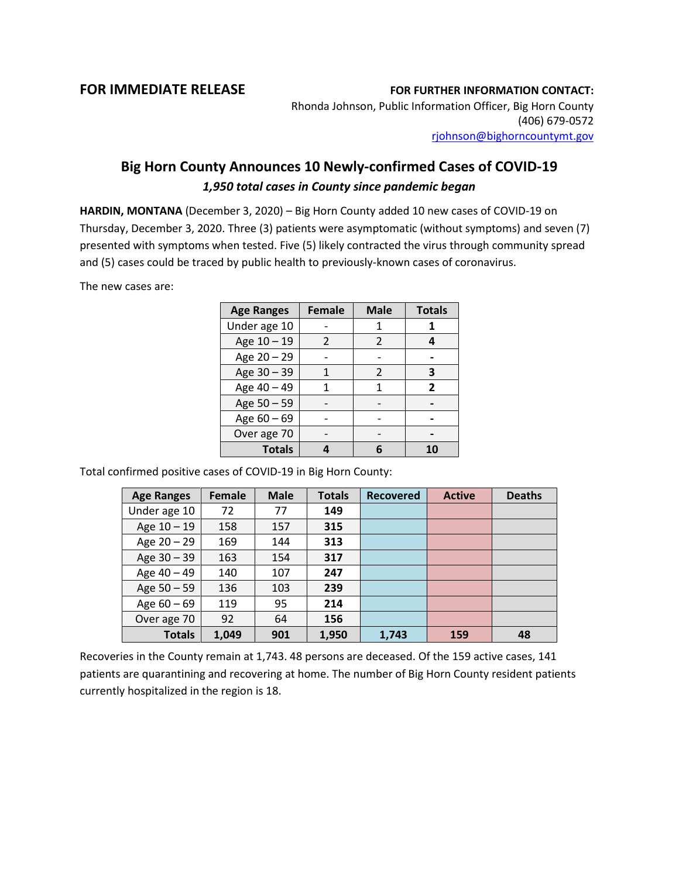## **FOR IMMEDIATE RELEASE FOR FURTHER INFORMATION CONTACT:**

Rhonda Johnson, Public Information Officer, Big Horn County (406) 679-0572 [rjohnson@bighorncountymt.gov](mailto:rjohnson@bighorncountymt.gov)

## **Big Horn County Announces 10 Newly-confirmed Cases of COVID-19** *1,950 total cases in County since pandemic began*

**HARDIN, MONTANA** (December 3, 2020) – Big Horn County added 10 new cases of COVID-19 on Thursday, December 3, 2020. Three (3) patients were asymptomatic (without symptoms) and seven (7) presented with symptoms when tested. Five (5) likely contracted the virus through community spread and (5) cases could be traced by public health to previously-known cases of coronavirus.

The new cases are:

| <b>Age Ranges</b> | <b>Female</b> | <b>Male</b>    | <b>Totals</b> |
|-------------------|---------------|----------------|---------------|
| Under age 10      |               |                |               |
| Age 10 - 19       | 2             | 2              |               |
| Age 20 - 29       |               |                |               |
| Age 30 - 39       |               | $\mathfrak{p}$ | 3             |
| Age 40 - 49       |               | 1              | 2             |
| Age 50 - 59       |               |                |               |
| Age 60 - 69       |               |                |               |
| Over age 70       |               |                |               |
| <b>Totals</b>     |               |                |               |

Total confirmed positive cases of COVID-19 in Big Horn County:

| <b>Age Ranges</b> | <b>Female</b> | <b>Male</b> | <b>Totals</b> | <b>Recovered</b> | <b>Active</b> | <b>Deaths</b> |
|-------------------|---------------|-------------|---------------|------------------|---------------|---------------|
| Under age 10      | 72            | 77          | 149           |                  |               |               |
| Age $10 - 19$     | 158           | 157         | 315           |                  |               |               |
| Age $20 - 29$     | 169           | 144         | 313           |                  |               |               |
| Age 30 - 39       | 163           | 154         | 317           |                  |               |               |
| Age 40 - 49       | 140           | 107         | 247           |                  |               |               |
| Age 50 - 59       | 136           | 103         | 239           |                  |               |               |
| Age $60 - 69$     | 119           | 95          | 214           |                  |               |               |
| Over age 70       | 92            | 64          | 156           |                  |               |               |
| <b>Totals</b>     | 1,049         | 901         | 1,950         | 1.743            | 159           | 48            |

Recoveries in the County remain at 1,743. 48 persons are deceased. Of the 159 active cases, 141 patients are quarantining and recovering at home. The number of Big Horn County resident patients currently hospitalized in the region is 18.